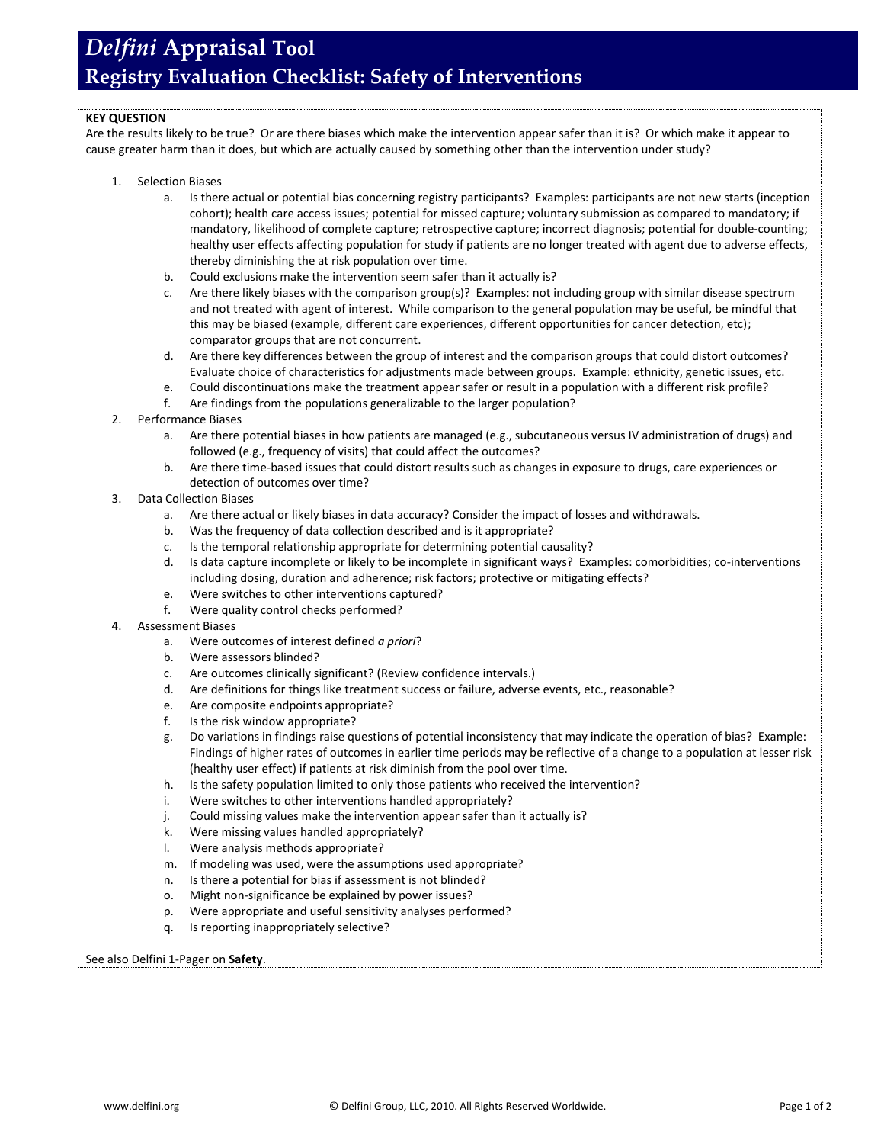## *Delfini* **Appraisal Tool Registry Evaluation Checklist: Safety of Interventions**

### **KEY QUESTION**

Are the results likely to be true? Or are there biases which make the intervention appear safer than it is? Or which make it appear to cause greater harm than it does, but which are actually caused by something other than the intervention under study?

- 1. Selection Biases
	- a. Is there actual or potential bias concerning registry participants? Examples: participants are not new starts (inception cohort); health care access issues; potential for missed capture; voluntary submission as compared to mandatory; if mandatory, likelihood of complete capture; retrospective capture; incorrect diagnosis; potential for double-counting; healthy user effects affecting population for study if patients are no longer treated with agent due to adverse effects, thereby diminishing the at risk population over time.
	- b. Could exclusions make the intervention seem safer than it actually is?
	- Are there likely biases with the comparison group(s)? Examples: not including group with similar disease spectrum and not treated with agent of interest. While comparison to the general population may be useful, be mindful that this may be biased (example, different care experiences, different opportunities for cancer detection, etc); comparator groups that are not concurrent.
	- d. Are there key differences between the group of interest and the comparison groups that could distort outcomes? Evaluate choice of characteristics for adjustments made between groups. Example: ethnicity, genetic issues, etc.
	- e. Could discontinuations make the treatment appear safer or result in a population with a different risk profile?
	- f. Are findings from the populations generalizable to the larger population?
- 2. Performance Biases
	- a. Are there potential biases in how patients are managed (e.g., subcutaneous versus IV administration of drugs) and followed (e.g., frequency of visits) that could affect the outcomes?
	- b. Are there time-based issues that could distort results such as changes in exposure to drugs, care experiences or detection of outcomes over time?
- 3. Data Collection Biases
	- a. Are there actual or likely biases in data accuracy? Consider the impact of losses and withdrawals.
	- b. Was the frequency of data collection described and is it appropriate?
	- c. Is the temporal relationship appropriate for determining potential causality?
	- d. Is data capture incomplete or likely to be incomplete in significant ways? Examples: comorbidities; co-interventions including dosing, duration and adherence; risk factors; protective or mitigating effects?
	- e. Were switches to other interventions captured?
	- f. Were quality control checks performed?
- 4. Assessment Biases
	- a. Were outcomes of interest defined *a priori*?
	- b. Were assessors blinded?
	- c. Are outcomes clinically significant? (Review confidence intervals.)
	- d. Are definitions for things like treatment success or failure, adverse events, etc., reasonable?
	- e. Are composite endpoints appropriate?
	- f. Is the risk window appropriate?
	- g. Do variations in findings raise questions of potential inconsistency that may indicate the operation of bias? Example: Findings of higher rates of outcomes in earlier time periods may be reflective of a change to a population at lesser risk (healthy user effect) if patients at risk diminish from the pool over time.
	- h. Is the safety population limited to only those patients who received the intervention?
	- i. Were switches to other interventions handled appropriately?
	- j. Could missing values make the intervention appear safer than it actually is?
	- k. Were missing values handled appropriately?
	- l. Were analysis methods appropriate?
	- m. If modeling was used, were the assumptions used appropriate?
	- n. Is there a potential for bias if assessment is not blinded?
	- o. Might non-significance be explained by power issues?
	- p. Were appropriate and useful sensitivity analyses performed?
	- q. Is reporting inappropriately selective?

#### See also Delfini 1-Pager on **Safety**.